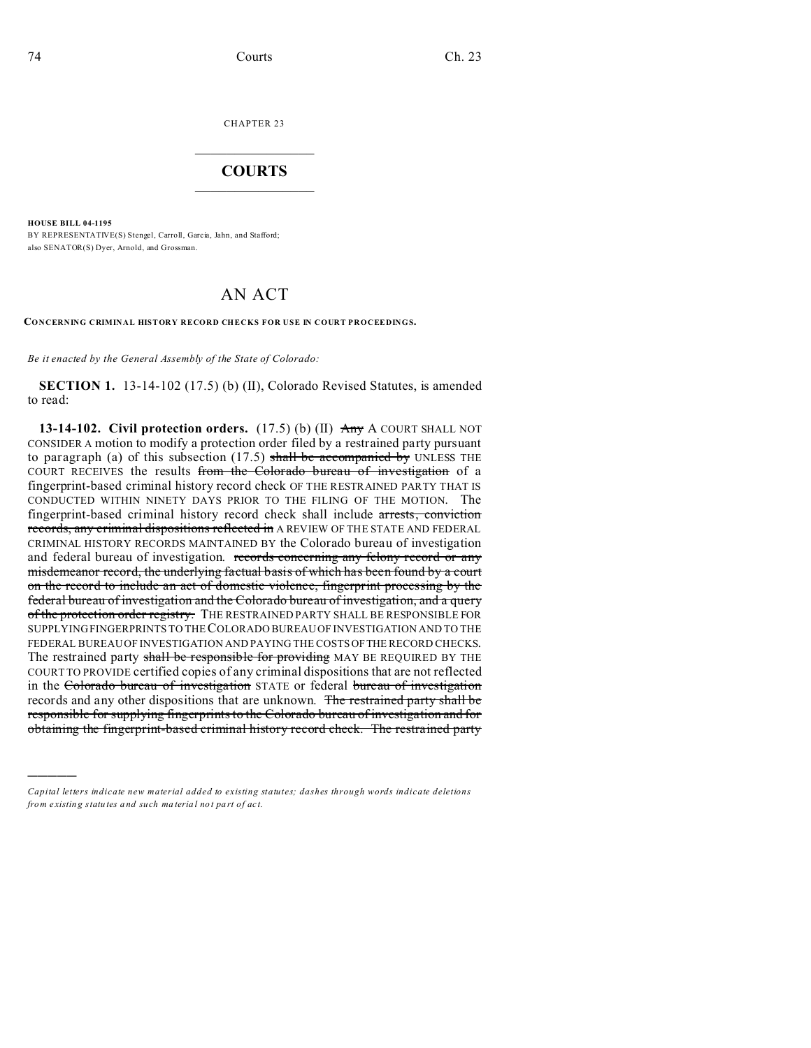CHAPTER 23  $\overline{\phantom{a}}$  , where  $\overline{\phantom{a}}$ 

## **COURTS**  $\_$

**HOUSE BILL 04-1195**

)))))

BY REPRESENTATIVE(S) Stengel, Carroll, Garcia, Jahn, and Stafford; also SENATOR(S) Dyer, Arnold, and Grossman.

## AN ACT

**CONCERNING CRIMINAL HISTORY RECORD CHECKS FOR USE IN COURT PROCEEDINGS.**

*Be it enacted by the General Assembly of the State of Colorado:*

**SECTION 1.** 13-14-102 (17.5) (b) (II), Colorado Revised Statutes, is amended to read:

**13-14-102. Civil protection orders.** (17.5) (b) (II) Any A COURT SHALL NOT CONSIDER A motion to modify a protection order filed by a restrained party pursuant to paragraph (a) of this subsection  $(17.5)$  shall be accompanied by UNLESS THE COURT RECEIVES the results from the Colorado bureau of investigation of a fingerprint-based criminal history record check OF THE RESTRAINED PARTY THAT IS CONDUCTED WITHIN NINETY DAYS PRIOR TO THE FILING OF THE MOTION. The fingerprint-based criminal history record check shall include arrests, conviction records, any criminal dispositions reflected in A REVIEW OF THE STATE AND FEDERAL CRIMINAL HISTORY RECORDS MAINTAINED BY the Colorado bureau of investigation and federal bureau of investigation. records concerning any felony record or any misdemeanor record, the underlying factual basis of which has been found by a court on the record to include an act of domestic violence, fingerprint processing by the federal bureau of investigation and the Colorado bureau of investigation, and a query of the protection order registry. THE RESTRAINED PARTY SHALL BE RESPONSIBLE FOR SUPPLYING FINGERPRINTS TO THE COLORADO BUREAU OF INVESTIGATION AND TO THE FEDERAL BUREAU OF INVESTIGATION AND PAYING THE COSTS OFTHE RECORD CHECKS. The restrained party shall be responsible for providing MAY BE REQUIRED BY THE COURT TO PROVIDE certified copies of any criminal dispositions that are not reflected in the Colorado bureau of investigation STATE or federal bureau of investigation records and any other dispositions that are unknown. The restrained party shall be responsible for supplying fingerprints to the Colorado bureau of investigation and for obtaining the fingerprint-based criminal history record check. The restrained party

*Capital letters indicate new material added to existing statutes; dashes through words indicate deletions from e xistin g statu tes a nd such ma teria l no t pa rt of ac t.*